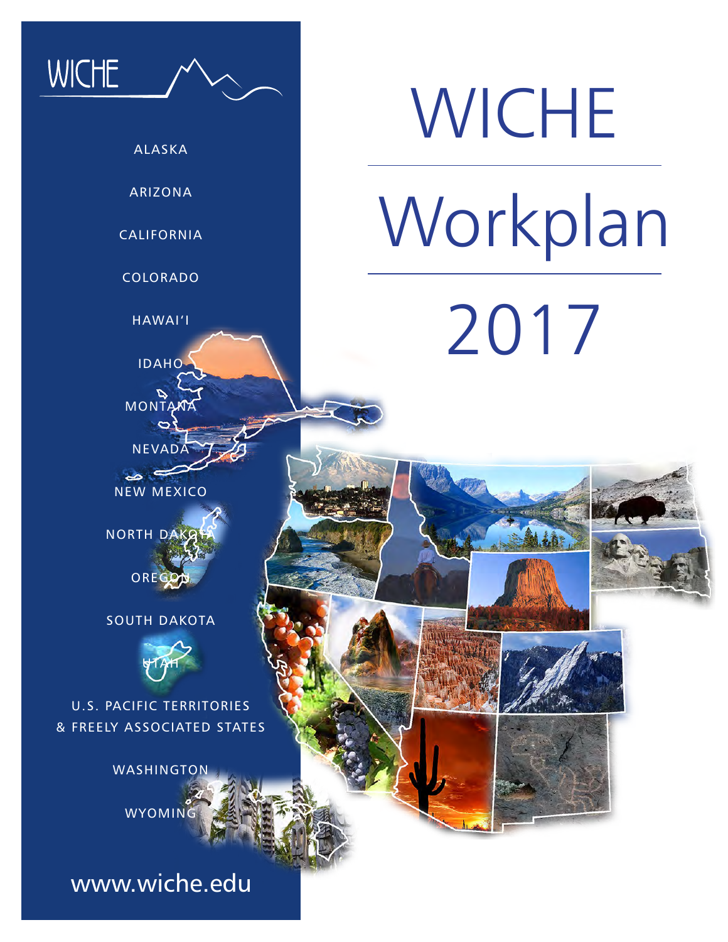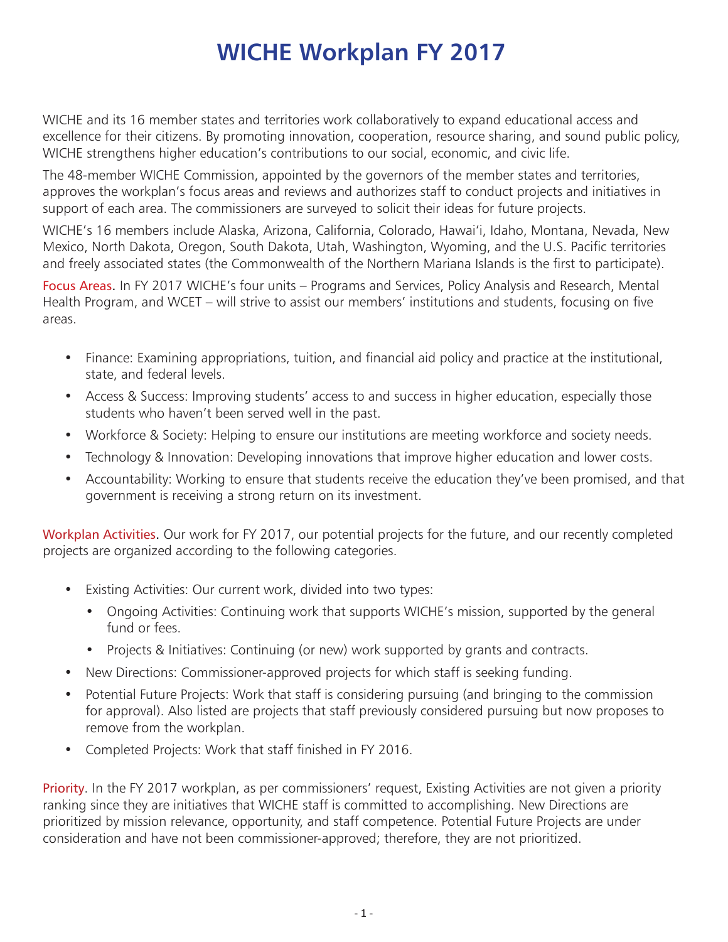# **WICHE Workplan FY 2017**

WICHE and its 16 member states and territories work collaboratively to expand educational access and excellence for their citizens. By promoting innovation, cooperation, resource sharing, and sound public policy, WICHE strengthens higher education's contributions to our social, economic, and civic life.

The 48-member WICHE Commission, appointed by the governors of the member states and territories, approves the workplan's focus areas and reviews and authorizes staff to conduct projects and initiatives in support of each area. The commissioners are surveyed to solicit their ideas for future projects.

WICHE's 16 members include Alaska, Arizona, California, Colorado, Hawai'i, Idaho, Montana, Nevada, New Mexico, North Dakota, Oregon, South Dakota, Utah, Washington, Wyoming, and the U.S. Pacific territories and freely associated states (the Commonwealth of the Northern Mariana Islands is the first to participate).

Focus Areas. In FY 2017 WICHE's four units – Programs and Services, Policy Analysis and Research, Mental Health Program, and WCET – will strive to assist our members' institutions and students, focusing on five areas.

- Finance: Examining appropriations, tuition, and financial aid policy and practice at the institutional, state, and federal levels.
- Access & Success: Improving students' access to and success in higher education, especially those students who haven't been served well in the past.
- Workforce & Society: Helping to ensure our institutions are meeting workforce and society needs.
- Technology & Innovation: Developing innovations that improve higher education and lower costs.
- Accountability: Working to ensure that students receive the education they've been promised, and that government is receiving a strong return on its investment.

Workplan Activities. Our work for FY 2017, our potential projects for the future, and our recently completed projects are organized according to the following categories.

- Existing Activities: Our current work, divided into two types:
	- Ongoing Activities: Continuing work that supports WICHE's mission, supported by the general fund or fees.
	- Projects & Initiatives: Continuing (or new) work supported by grants and contracts.
- New Directions: Commissioner-approved projects for which staff is seeking funding.
- Potential Future Projects: Work that staff is considering pursuing (and bringing to the commission for approval). Also listed are projects that staff previously considered pursuing but now proposes to remove from the workplan.
- Completed Projects: Work that staff finished in FY 2016.

Priority. In the FY 2017 workplan, as per commissioners' request, Existing Activities are not given a priority ranking since they are initiatives that WICHE staff is committed to accomplishing. New Directions are prioritized by mission relevance, opportunity, and staff competence. Potential Future Projects are under consideration and have not been commissioner-approved; therefore, they are not prioritized.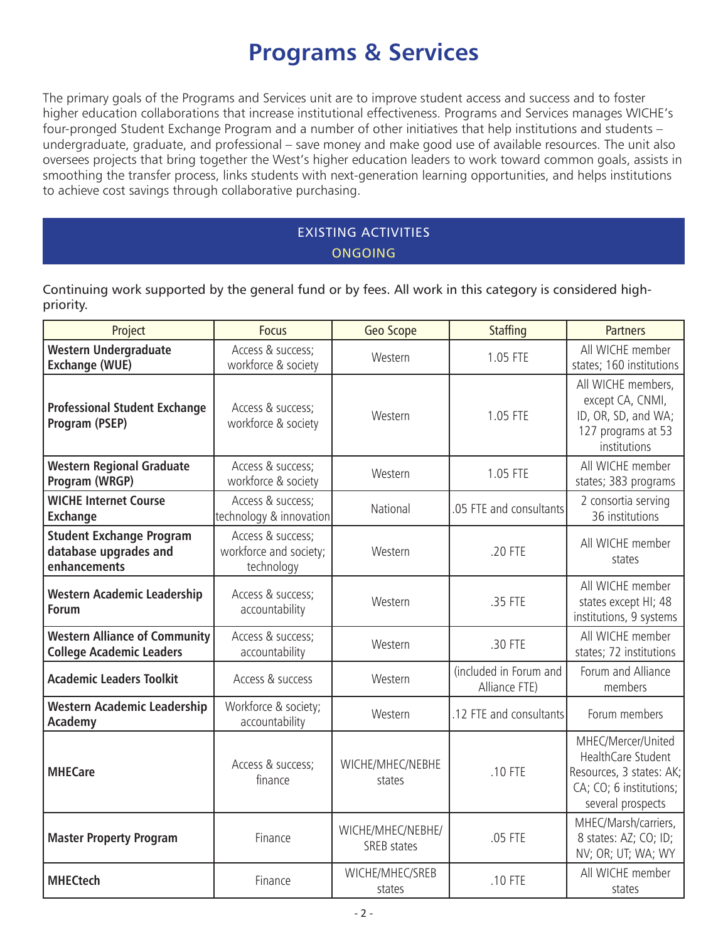# **Programs & Services**

The primary goals of the Programs and Services unit are to improve student access and success and to foster higher education collaborations that increase institutional effectiveness. Programs and Services manages WICHE's four-pronged Student Exchange Program and a number of other initiatives that help institutions and students – undergraduate, graduate, and professional – save money and make good use of available resources. The unit also oversees projects that bring together the West's higher education leaders to work toward common goals, assists in smoothing the transfer process, links students with next-generation learning opportunities, and helps institutions to achieve cost savings through collaborative purchasing.

## EXISTING ACTIVITIES **ONGOING**

Continuing work supported by the general fund or by fees. All work in this category is considered highpriority.

| Project                                                                  | <b>Focus</b>                                              | <b>Geo Scope</b>                 | <b>Staffing</b>                         | <b>Partners</b>                                                                                                      |
|--------------------------------------------------------------------------|-----------------------------------------------------------|----------------------------------|-----------------------------------------|----------------------------------------------------------------------------------------------------------------------|
| <b>Western Undergraduate</b><br><b>Exchange (WUE)</b>                    | Access & success;<br>workforce & society                  | Western                          | 1.05 FTE                                | All WICHE member<br>states; 160 institutions                                                                         |
| <b>Professional Student Exchange</b><br>Program (PSEP)                   | Access & success;<br>workforce & society                  | Western                          | 1.05 FTE                                | All WICHE members,<br>except CA, CNMI,<br>ID, OR, SD, and WA;<br>127 programs at 53<br>institutions                  |
| <b>Western Regional Graduate</b><br>Program (WRGP)                       | Access & success;<br>workforce & society                  | Western                          | 1.05 FTE                                | All WICHE member<br>states; 383 programs                                                                             |
| <b>WICHE Internet Course</b><br><b>Exchange</b>                          | Access & success;<br>technology & innovation              | National                         | .05 FTE and consultants                 | 2 consortia serving<br>36 institutions                                                                               |
| <b>Student Exchange Program</b><br>database upgrades and<br>enhancements | Access & success;<br>workforce and society;<br>technology | Western                          | .20 FTE                                 | All WICHE member<br>states                                                                                           |
| <b>Western Academic Leadership</b><br><b>Forum</b>                       | Access & success;<br>accountability                       | Western                          | .35 FTE                                 | All WICHE member<br>states except HI; 48<br>institutions, 9 systems                                                  |
| <b>Western Alliance of Community</b><br><b>College Academic Leaders</b>  | Access & success;<br>accountability                       | Western                          | .30 FTE                                 | All WICHE member<br>states; 72 institutions                                                                          |
| <b>Academic Leaders Toolkit</b>                                          | Access & success                                          | Western                          | (included in Forum and<br>Alliance FTE) | Forum and Alliance<br>members                                                                                        |
| <b>Western Academic Leadership</b><br><b>Academy</b>                     | Workforce & society;<br>accountability                    | Western                          | .12 FTE and consultants                 | Forum members                                                                                                        |
| <b>MHECare</b>                                                           | Access & success;<br>finance                              | WICHE/MHEC/NEBHE<br>states       | .10 FTE                                 | MHEC/Mercer/United<br>HealthCare Student<br>Resources, 3 states: AK;<br>CA; CO; 6 institutions;<br>several prospects |
| <b>Master Property Program</b>                                           | Finance                                                   | WICHE/MHEC/NEBHE/<br>SREB states | .05 FTE                                 | MHEC/Marsh/carriers,<br>8 states: AZ; CO; ID;<br>NV; OR; UT; WA; WY                                                  |
| <b>MHECtech</b>                                                          | Finance                                                   | WICHE/MHEC/SREB<br>states        | .10 FTE                                 | All WICHE member<br>states                                                                                           |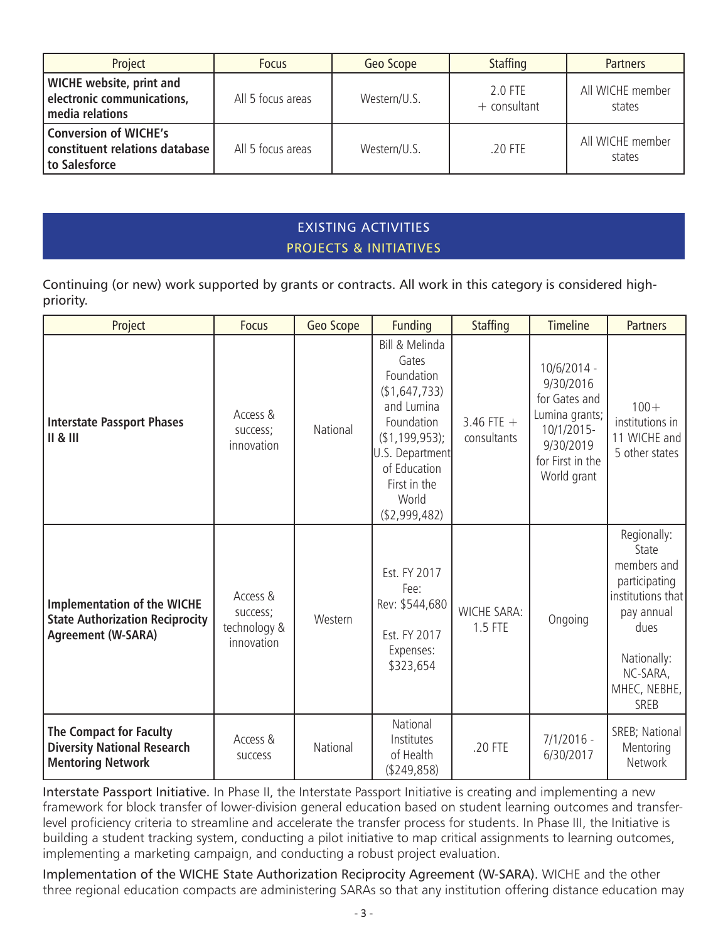| Project                                                                          | <b>Focus</b>      | Geo Scope    | <b>Staffing</b>             | <b>Partners</b>            |
|----------------------------------------------------------------------------------|-------------------|--------------|-----------------------------|----------------------------|
| <b>WICHE</b> website, print and<br>electronic communications,<br>media relations | All 5 focus areas | Western/U.S. | $2.0$ FTF<br>$+$ consultant | All WICHE member<br>states |
| <b>Conversion of WICHE's</b><br>constituent relations database<br>to Salesforce  | All 5 focus areas | Western/U.S. | .20 FTE                     | All WICHE member<br>states |

## EXISTING ACTIVITIES PROJECTS & INITIATIVES

Continuing (or new) work supported by grants or contracts. All work in this category is considered highpriority.

| Project                                                                                                   | <b>Focus</b>                                       | Geo Scope | <b>Funding</b>                                                                                                                                                                     | <b>Staffing</b>               | <b>Timeline</b>                                                                                                           | <b>Partners</b>                                                                                                                                           |
|-----------------------------------------------------------------------------------------------------------|----------------------------------------------------|-----------|------------------------------------------------------------------------------------------------------------------------------------------------------------------------------------|-------------------------------|---------------------------------------------------------------------------------------------------------------------------|-----------------------------------------------------------------------------------------------------------------------------------------------------------|
| <b>Interstate Passport Phases</b><br>II & II                                                              | Access &<br>success;<br>innovation                 | National  | Bill & Melinda<br>Gates<br>Foundation<br>(\$1,647,733)<br>and Lumina<br>Foundation<br>(\$1,199,953);<br>U.S. Department<br>of Education<br>First in the<br>World<br>( \$2,999,482) | 3.46 FTE $+$<br>consultants   | 10/6/2014 -<br>9/30/2016<br>for Gates and<br>Lumina grants;<br>10/1/2015-<br>9/30/2019<br>for First in the<br>World grant | $100 +$<br>institutions in<br>11 WICHE and<br>5 other states                                                                                              |
| <b>Implementation of the WICHE</b><br><b>State Authorization Reciprocity</b><br><b>Agreement (W-SARA)</b> | Access &<br>success;<br>technology &<br>innovation | Western   | Est. FY 2017<br>Fee:<br>Rev: \$544,680<br>Est. FY 2017<br>Expenses:<br>\$323,654                                                                                                   | <b>WICHE SARA:</b><br>1.5 FTE | Ongoing                                                                                                                   | Regionally:<br>State<br>members and<br>participating<br>institutions that<br>pay annual<br>dues<br>Nationally:<br>NC-SARA,<br>MHEC, NEBHE,<br><b>SREB</b> |
| <b>The Compact for Faculty</b><br><b>Diversity National Research</b><br><b>Mentoring Network</b>          | Access &<br><b>SUCCESS</b>                         | National  | National<br>Institutes<br>of Health<br>( \$249, 858)                                                                                                                               | .20 FTE                       | $7/1/2016 -$<br>6/30/2017                                                                                                 | SREB; National<br>Mentoring<br><b>Network</b>                                                                                                             |

Interstate Passport Initiative. In Phase II, the Interstate Passport Initiative is creating and implementing a new framework for block transfer of lower-division general education based on student learning outcomes and transferlevel proficiency criteria to streamline and accelerate the transfer process for students. In Phase III, the Initiative is building a student tracking system, conducting a pilot initiative to map critical assignments to learning outcomes, implementing a marketing campaign, and conducting a robust project evaluation.

Implementation of the WICHE State Authorization Reciprocity Agreement (W-SARA). WICHE and the other three regional education compacts are administering SARAs so that any institution offering distance education may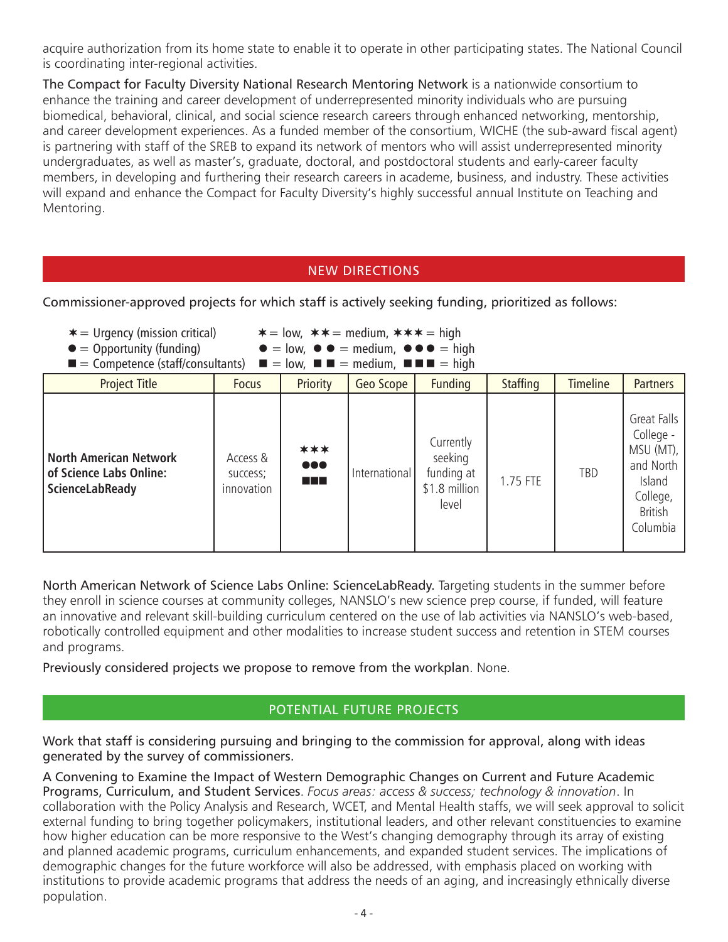acquire authorization from its home state to enable it to operate in other participating states. The National Council is coordinating inter-regional activities.

The Compact for Faculty Diversity National Research Mentoring Network is a nationwide consortium to enhance the training and career development of underrepresented minority individuals who are pursuing biomedical, behavioral, clinical, and social science research careers through enhanced networking, mentorship, and career development experiences. As a funded member of the consortium, WICHE (the sub-award fiscal agent) is partnering with staff of the SREB to expand its network of mentors who will assist underrepresented minority undergraduates, as well as master's, graduate, doctoral, and postdoctoral students and early-career faculty members, in developing and furthering their research careers in academe, business, and industry. These activities will expand and enhance the Compact for Faculty Diversity's highly successful annual Institute on Teaching and Mentoring.

## NEW DIRECTIONS

Commissioner-approved projects for which staff is actively seeking funding, prioritized as follows:

- 
- 
- $*$  = Urgency (mission critical)  $*$  = low,  $*$  = medium,  $*$   $*$  = high<br>  $\bullet$  = Opportunity (funding)  $\bullet$  = low,  $\bullet$   $\bullet$  = medium,  $\bullet$   $\bullet$   $\bullet$  = high  $\bullet = \text{low}$ ,  $\bullet \bullet = \text{medium}$ ,  $\bullet \bullet \bullet = \text{high}$
- $=$  Competence (staff/consultants)  $\blacksquare =$  low,  $\blacksquare \blacksquare =$  medium,  $\blacksquare \blacksquare =$  high

| $\blacksquare$ $\blacksquare$ $\blacksquare$ $\blacksquare$ $\blacksquare$ $\blacksquare$ $\blacksquare$ $\blacksquare$ $\blacksquare$ $\blacksquare$ $\blacksquare$ $\blacksquare$ $\blacksquare$ $\blacksquare$ $\blacksquare$ $\blacksquare$ $\blacksquare$ $\blacksquare$ $\blacksquare$ $\blacksquare$ $\blacksquare$ $\blacksquare$ $\blacksquare$ $\blacksquare$ $\blacksquare$ $\blacksquare$ $\blacksquare$ $\blacksquare$ $\blacksquare$ $\blacksquare$ $\blacksquare$ $\blacks$ |                                    |                                           |               |                                                              |                 |                 |                                                                                                        |
|--------------------------------------------------------------------------------------------------------------------------------------------------------------------------------------------------------------------------------------------------------------------------------------------------------------------------------------------------------------------------------------------------------------------------------------------------------------------------------------------|------------------------------------|-------------------------------------------|---------------|--------------------------------------------------------------|-----------------|-----------------|--------------------------------------------------------------------------------------------------------|
| <b>Project Title</b>                                                                                                                                                                                                                                                                                                                                                                                                                                                                       | <b>Focus</b>                       | Priority                                  | Geo Scope     | <b>Funding</b>                                               | <b>Staffing</b> | <b>Timeline</b> | <b>Partners</b>                                                                                        |
| <b>North American Network</b><br>of Science Labs Online:<br>ScienceLabReady                                                                                                                                                                                                                                                                                                                                                                                                                | Access &<br>success;<br>innovation | ***<br>$\bullet\bullet\bullet$<br>a da ka | International | Currently<br>seeking<br>funding at<br>\$1.8 million<br>level | 1.75 FTE        | TBD             | Great Falls<br>College -<br>MSU (MT),<br>and North<br>Island<br>College,<br><b>British</b><br>Columbia |

North American Network of Science Labs Online: ScienceLabReady. Targeting students in the summer before they enroll in science courses at community colleges, NANSLO's new science prep course, if funded, will feature an innovative and relevant skill-building curriculum centered on the use of lab activities via NANSLO's web-based, robotically controlled equipment and other modalities to increase student success and retention in STEM courses and programs.

Previously considered projects we propose to remove from the workplan. None.

## POTENTIAL FUTURE PROJECTS

Work that staff is considering pursuing and bringing to the commission for approval, along with ideas generated by the survey of commissioners.

A Convening to Examine the Impact of Western Demographic Changes on Current and Future Academic Programs, Curriculum, and Student Services. *Focus areas: access & success; technology & innovation*. In collaboration with the Policy Analysis and Research, WCET, and Mental Health staffs, we will seek approval to solicit external funding to bring together policymakers, institutional leaders, and other relevant constituencies to examine how higher education can be more responsive to the West's changing demography through its array of existing and planned academic programs, curriculum enhancements, and expanded student services. The implications of demographic changes for the future workforce will also be addressed, with emphasis placed on working with institutions to provide academic programs that address the needs of an aging, and increasingly ethnically diverse population.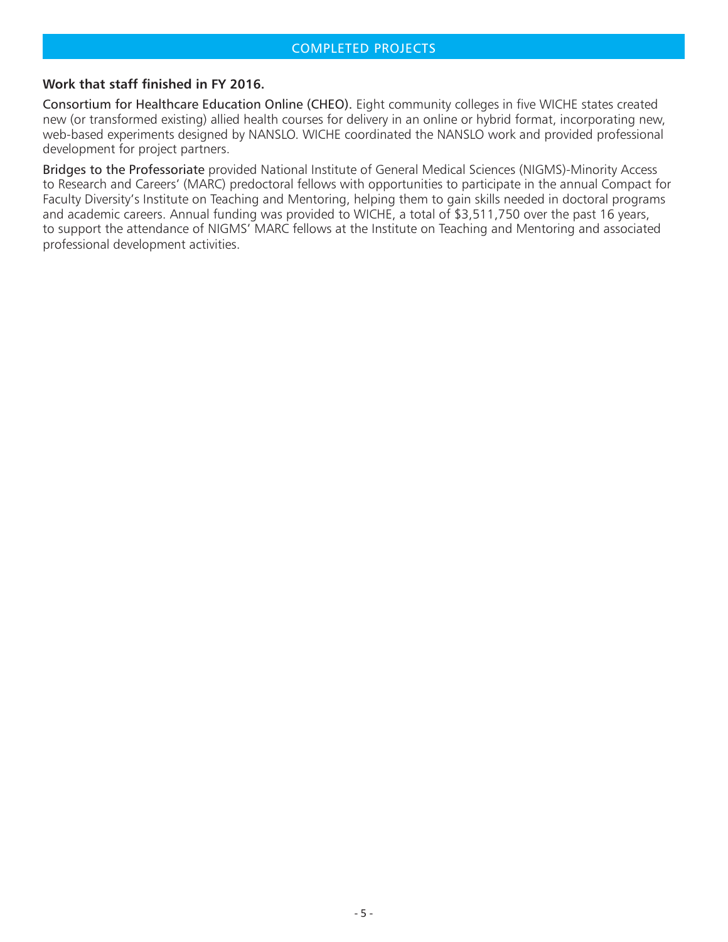#### COMPLETED PROJECTS

#### **Work that staff finished in FY 2016.**

Consortium for Healthcare Education Online (CHEO). Eight community colleges in five WICHE states created new (or transformed existing) allied health courses for delivery in an online or hybrid format, incorporating new, web-based experiments designed by NANSLO. WICHE coordinated the NANSLO work and provided professional development for project partners.

Bridges to the Professoriate provided National Institute of General Medical Sciences (NIGMS)-Minority Access to Research and Careers' (MARC) predoctoral fellows with opportunities to participate in the annual Compact for Faculty Diversity's Institute on Teaching and Mentoring, helping them to gain skills needed in doctoral programs and academic careers. Annual funding was provided to WICHE, a total of \$3,511,750 over the past 16 years, to support the attendance of NIGMS' MARC fellows at the Institute on Teaching and Mentoring and associated professional development activities.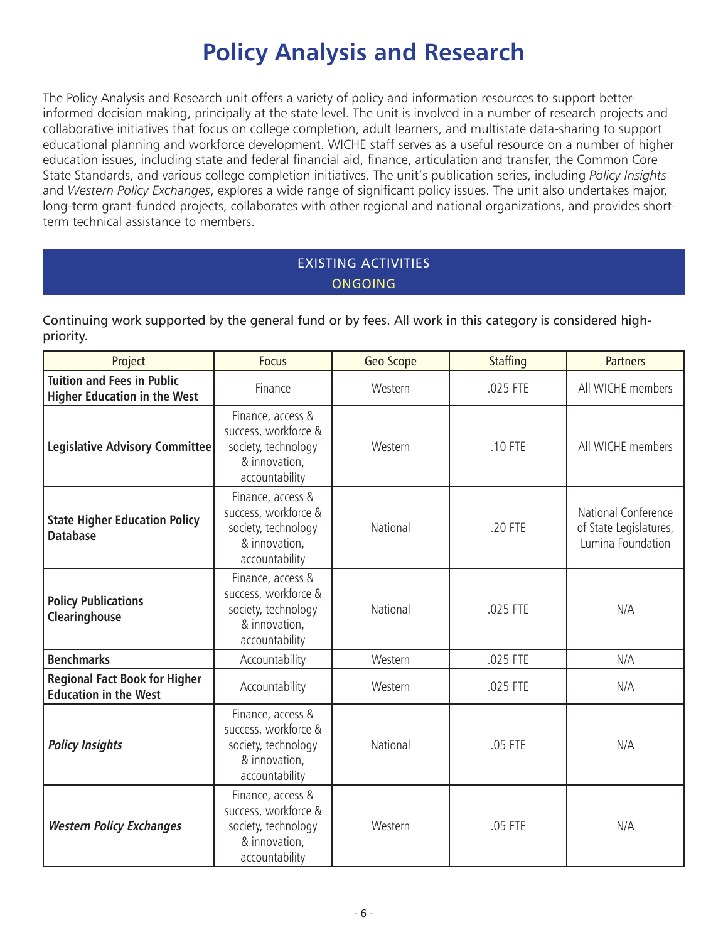# **Policy Analysis and Research**

The Policy Analysis and Research unit offers a variety of policy and information resources to support betterinformed decision making, principally at the state level. The unit is involved in a number of research projects and collaborative initiatives that focus on college completion, adult learners, and multistate data-sharing to support educational planning and workforce development. WICHE staff serves as a useful resource on a number of higher education issues, including state and federal financial aid, finance, articulation and transfer, the Common Core State Standards, and various college completion initiatives. The unit's publication series, including *Policy Insights* and *Western Policy Exchanges*, explores a wide range of significant policy issues. The unit also undertakes major, long-term grant-funded projects, collaborates with other regional and national organizations, and provides shortterm technical assistance to members.

# EXISTING ACTIVITIES ONGOING

Continuing work supported by the general fund or by fees. All work in this category is considered highpriority.

| Project                                                                  | <b>Focus</b>                                                                                        | Geo Scope | <b>Staffing</b> | <b>Partners</b>                                                    |
|--------------------------------------------------------------------------|-----------------------------------------------------------------------------------------------------|-----------|-----------------|--------------------------------------------------------------------|
| <b>Tuition and Fees in Public</b><br><b>Higher Education in the West</b> | Finance                                                                                             | Western   | .025 FTE        | All WICHE members                                                  |
| <b>Legislative Advisory Committee</b>                                    | Finance, access &<br>success, workforce &<br>society, technology<br>& innovation,<br>accountability | Western   | .10 FTE         | All WICHE members                                                  |
| <b>State Higher Education Policy</b><br><b>Database</b>                  | Finance, access &<br>success, workforce &<br>society, technology<br>& innovation,<br>accountability | National  | .20 FTE         | National Conference<br>of State Legislatures,<br>Lumina Foundation |
| <b>Policy Publications</b><br>Clearinghouse                              | Finance, access &<br>success, workforce &<br>society, technology<br>& innovation,<br>accountability | National  | .025 FTE        | N/A                                                                |
| <b>Benchmarks</b>                                                        | Accountability                                                                                      | Western   | .025 FTE        | N/A                                                                |
| <b>Regional Fact Book for Higher</b><br><b>Education in the West</b>     | Accountability                                                                                      | Western   | .025 FTE        | N/A                                                                |
| <b>Policy Insights</b>                                                   | Finance, access &<br>success, workforce &<br>society, technology<br>& innovation,<br>accountability | National  | .05 FTE         | N/A                                                                |
| <b>Western Policy Exchanges</b>                                          | Finance, access &<br>success, workforce &<br>society, technology<br>& innovation,<br>accountability | Western   | .05 FTE         | N/A                                                                |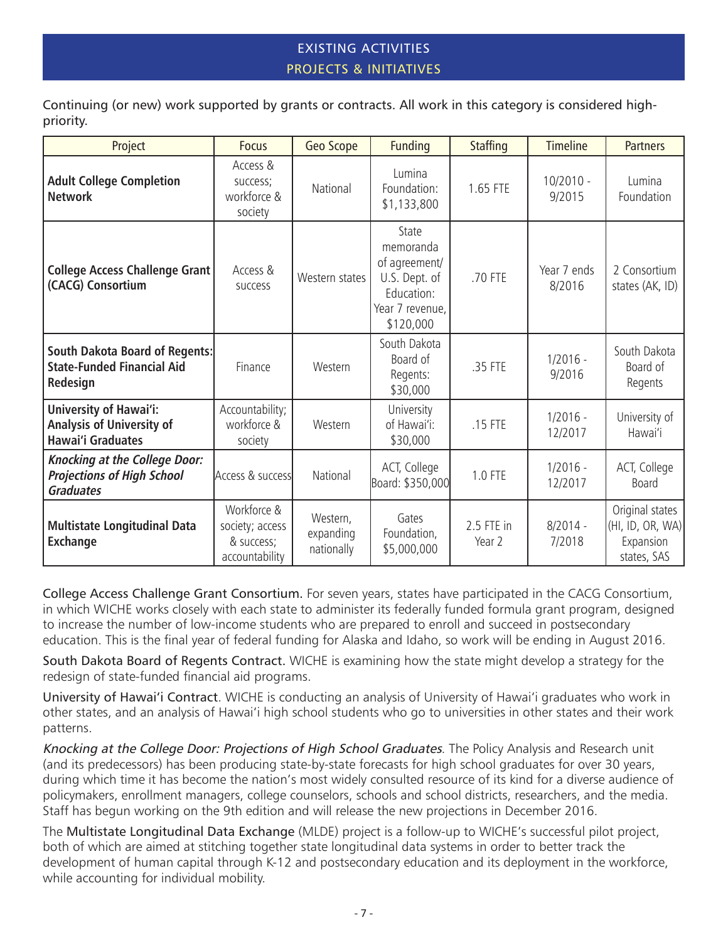## EXISTING ACTIVITIES PROJECTS & INITIATIVES

Continuing (or new) work supported by grants or contracts. All work in this category is considered highpriority.

| Project                                                                                       | <b>Focus</b>                                                   | Geo Scope                           | <b>Funding</b>                                                                                     | <b>Staffing</b>      | <b>Timeline</b>       | <b>Partners</b>                                                 |
|-----------------------------------------------------------------------------------------------|----------------------------------------------------------------|-------------------------------------|----------------------------------------------------------------------------------------------------|----------------------|-----------------------|-----------------------------------------------------------------|
| <b>Adult College Completion</b><br><b>Network</b>                                             | Access &<br>success;<br>workforce &<br>society                 | National                            | Lumina<br>Foundation:<br>\$1,133,800                                                               | 1.65 FTE             | $10/2010 -$<br>9/2015 | Lumina<br>Foundation                                            |
| <b>College Access Challenge Grant</b><br>(CACG) Consortium                                    | Access &<br><b>SUCCESS</b>                                     | Western states                      | State<br>memoranda<br>of agreement/<br>U.S. Dept. of<br>Education:<br>Year 7 revenue,<br>\$120,000 | .70 FTE              | Year 7 ends<br>8/2016 | 2 Consortium<br>states (AK, ID)                                 |
| <b>South Dakota Board of Regents:</b><br><b>State-Funded Financial Aid</b><br>Redesign        | Finance                                                        | Western                             | South Dakota<br>Board of<br>Regents:<br>\$30,000                                                   | .35 FTE              | $1/2016 -$<br>9/2016  | South Dakota<br>Board of<br>Regents                             |
| <b>University of Hawai'i:</b><br><b>Analysis of University of</b><br><b>Hawai'i Graduates</b> | Accountability;<br>workforce &<br>society                      | Western                             | University<br>of Hawai'i:<br>\$30,000                                                              | .15 FTE              | $1/2016 -$<br>12/2017 | University of<br>Hawai'i                                        |
| <b>Knocking at the College Door:</b><br><b>Projections of High School</b><br><b>Graduates</b> | Access & success                                               | National                            | ACT, College<br>Board: \$350,000                                                                   | 1.0 FTE              | $1/2016 -$<br>12/2017 | ACT, College<br><b>Board</b>                                    |
| <b>Multistate Longitudinal Data</b><br><b>Exchange</b>                                        | Workforce &<br>society; access<br>& success;<br>accountability | Western,<br>expanding<br>nationally | Gates<br>Foundation,<br>\$5,000,000                                                                | 2.5 FTE in<br>Year 2 | $8/2014 -$<br>7/2018  | Original states<br>(HI, ID, OR, WA)<br>Expansion<br>states, SAS |

College Access Challenge Grant Consortium. For seven years, states have participated in the CACG Consortium, in which WICHE works closely with each state to administer its federally funded formula grant program, designed to increase the number of low-income students who are prepared to enroll and succeed in postsecondary education. This is the final year of federal funding for Alaska and Idaho, so work will be ending in August 2016.

South Dakota Board of Regents Contract. WICHE is examining how the state might develop a strategy for the redesign of state-funded financial aid programs.

University of Hawai'i Contract. WICHE is conducting an analysis of University of Hawai'i graduates who work in other states, and an analysis of Hawai'i high school students who go to universities in other states and their work patterns.

Knocking at the College Door: Projections of High School Graduates. The Policy Analysis and Research unit (and its predecessors) has been producing state-by-state forecasts for high school graduates for over 30 years, during which time it has become the nation's most widely consulted resource of its kind for a diverse audience of policymakers, enrollment managers, college counselors, schools and school districts, researchers, and the media. Staff has begun working on the 9th edition and will release the new projections in December 2016.

The Multistate Longitudinal Data Exchange (MLDE) project is a follow-up to WICHE's successful pilot project, both of which are aimed at stitching together state longitudinal data systems in order to better track the development of human capital through K-12 and postsecondary education and its deployment in the workforce, while accounting for individual mobility.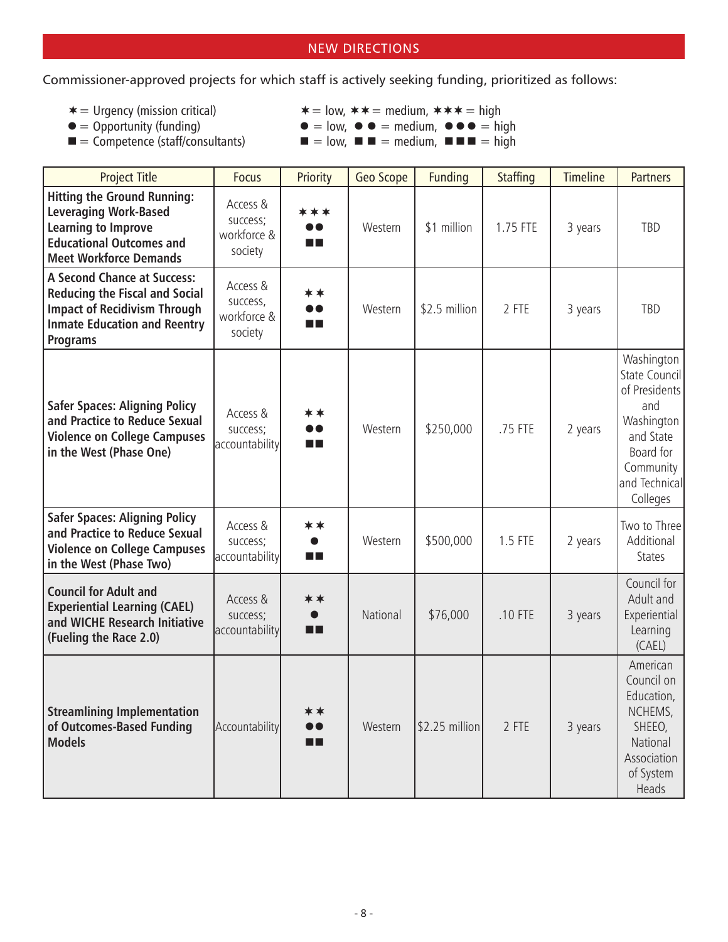### NEW DIRECTIONS

Commissioner-approved projects for which staff is actively seeking funding, prioritized as follows:

- 
- 
- 
- $*$  = Urgency (mission critical)  $*$  = low,  $*$  = medium,  $*$   $*$  = high<br>  $\bullet$  = Opportunity (funding)  $\bullet$  = low,  $\bullet$   $\bullet$  = medium,  $\bullet$   $\bullet$  = high
- $\bullet$  = Opportunity (funding)<br> **•**  $\bullet$  = low,  $\bullet$   $\bullet$  = medium,  $\bullet \bullet$  = high<br> **=** Competence (staff/consultants)<br> **=** low, **= =** medium, **= =** high  $\blacksquare = \text{low}, \blacksquare \blacksquare = \text{medium}, \blacksquare \blacksquare \blacksquare = \text{high}$ 
	-

| <b>Project Title</b>                                                                                                                                                         | <b>Focus</b>                                   | Priority                                 | Geo Scope | <b>Funding</b>   | <b>Staffing</b> | <b>Timeline</b> | <b>Partners</b>                                                                                                                       |
|------------------------------------------------------------------------------------------------------------------------------------------------------------------------------|------------------------------------------------|------------------------------------------|-----------|------------------|-----------------|-----------------|---------------------------------------------------------------------------------------------------------------------------------------|
| <b>Hitting the Ground Running:</b><br><b>Leveraging Work-Based</b><br><b>Learning to Improve</b><br><b>Educational Outcomes and</b><br><b>Meet Workforce Demands</b>         | Access &<br>success;<br>workforce &<br>society | ***<br>o o<br>m pr                       | Western   | \$1 million      | 1.75 FTE        | 3 years         | TBD                                                                                                                                   |
| <b>A Second Chance at Success:</b><br><b>Reducing the Fiscal and Social</b><br><b>Impact of Recidivism Through</b><br><b>Inmate Education and Reentry</b><br><b>Programs</b> | Access &<br>success,<br>workforce &<br>society | **<br>D O<br>m n                         | Western   | \$2.5 million    | 2 FTE           | 3 years         | TBD                                                                                                                                   |
| <b>Safer Spaces: Aligning Policy</b><br>and Practice to Reduce Sexual<br><b>Violence on College Campuses</b><br>in the West (Phase One)                                      | Access &<br>success;<br>accountability         | **<br>$\bullet\bullet$<br>n E            | Western   | \$250,000        | .75 FTE         | 2 years         | Washington<br>State Council<br>of Presidents<br>and<br>Washington<br>and State<br>Board for<br>Community<br>and Technical<br>Colleges |
| <b>Safer Spaces: Aligning Policy</b><br>and Practice to Reduce Sexual<br><b>Violence on College Campuses</b><br>in the West (Phase Two)                                      | Access &<br>success;<br>accountability         | **<br>$\bullet$<br>n E                   | Western   | \$500,000        | 1.5 FTE         | 2 years         | Two to Three<br>Additional<br><b>States</b>                                                                                           |
| <b>Council for Adult and</b><br><b>Experiential Learning (CAEL)</b><br>and WICHE Research Initiative<br>(Fueling the Race 2.0)                                               | Access &<br>success;<br>accountability         | **<br>$\bullet$<br>œ                     | National  | \$76,000         | .10 FTE         | 3 years         | Council for<br>Adult and<br>Experiential<br>Learning<br>(CAEL)                                                                        |
| <b>Streamlining Implementation</b><br>of Outcomes-Based Funding<br><b>Models</b>                                                                                             | Accountability                                 | **<br>$\bullet\bullet$<br>$\blacksquare$ | Western   | $ $2.25$ million | 2 FTE           | 3 years         | American<br>Council on<br>Education,<br>NCHEMS,<br>SHEEO,<br>National<br>Association<br>of System<br>Heads                            |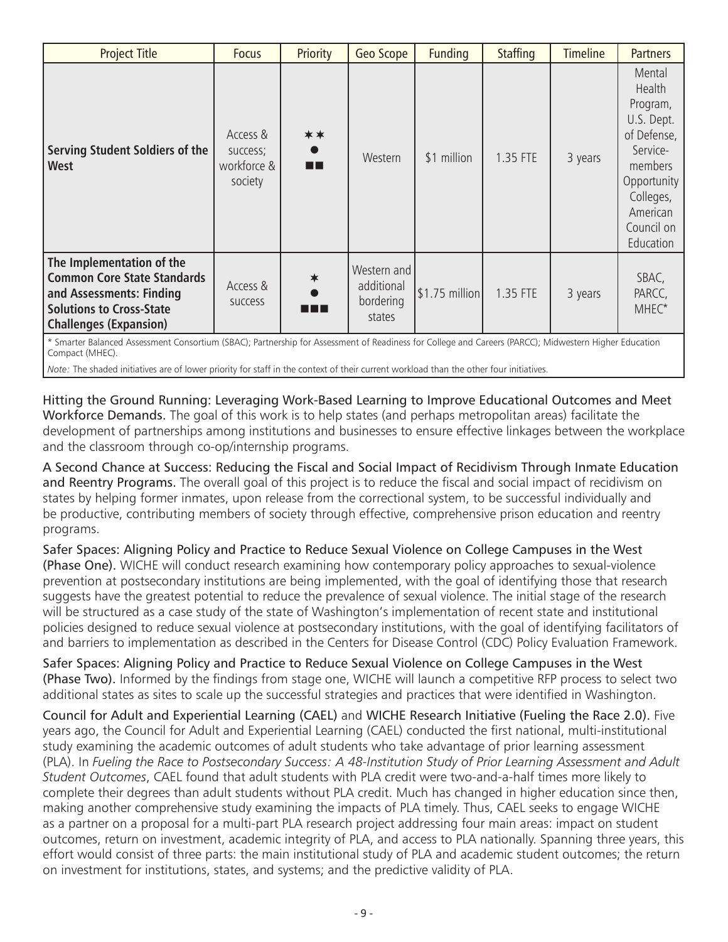| <b>Project Title</b>                                                                                                                                            | <b>Focus</b>                                   | Priority                     | Geo Scope                                        | Funding                        | <b>Staffing</b> | <b>Timeline</b> | <b>Partners</b>                                                                                                                                     |
|-----------------------------------------------------------------------------------------------------------------------------------------------------------------|------------------------------------------------|------------------------------|--------------------------------------------------|--------------------------------|-----------------|-----------------|-----------------------------------------------------------------------------------------------------------------------------------------------------|
| Serving Student Soldiers of the<br><b>West</b>                                                                                                                  | Access &<br>success;<br>workforce &<br>society | **<br>$\bullet$<br><b>HH</b> | Western                                          | \$1 million                    | 1.35 FTE        | 3 years         | Mental<br>Health<br>Program,<br>U.S. Dept.<br>of Defense,<br>Service-<br>members<br>Opportunity<br>Colleges,<br>American<br>Council on<br>Education |
| The Implementation of the<br><b>Common Core State Standards</b><br>and Assessments: Finding<br><b>Solutions to Cross-State</b><br><b>Challenges (Expansion)</b> | Access &<br><b>SUCCESS</b>                     | $\ast$<br>n 11 A             | Western and<br>additional<br>bordering<br>states | $\vert$ \$1.75 million $\vert$ | 1.35 FTE        | 3 years         | SBAC,<br>PARCC,<br>MHEC*                                                                                                                            |

\* Smarter Balanced Assessment Consortium (SBAC); Partnership for Assessment of Readiness for College and Careers (PARCC); Midwestern Higher Education Compact (MHEC).

*Note:* The shaded initiatives are of lower priority for staff in the context of their current workload than the other four initiatives.

Hitting the Ground Running: Leveraging Work-Based Learning to Improve Educational Outcomes and Meet Workforce Demands. The goal of this work is to help states (and perhaps metropolitan areas) facilitate the development of partnerships among institutions and businesses to ensure effective linkages between the workplace and the classroom through co-op/internship programs.

A Second Chance at Success: Reducing the Fiscal and Social Impact of Recidivism Through Inmate Education and Reentry Programs. The overall goal of this project is to reduce the fiscal and social impact of recidivism on states by helping former inmates, upon release from the correctional system, to be successful individually and be productive, contributing members of society through effective, comprehensive prison education and reentry programs.

Safer Spaces: Aligning Policy and Practice to Reduce Sexual Violence on College Campuses in the West (Phase One). WICHE will conduct research examining how contemporary policy approaches to sexual-violence prevention at postsecondary institutions are being implemented, with the goal of identifying those that research suggests have the greatest potential to reduce the prevalence of sexual violence. The initial stage of the research will be structured as a case study of the state of Washington's implementation of recent state and institutional policies designed to reduce sexual violence at postsecondary institutions, with the goal of identifying facilitators of and barriers to implementation as described in the Centers for Disease Control (CDC) Policy Evaluation Framework.

Safer Spaces: Aligning Policy and Practice to Reduce Sexual Violence on College Campuses in the West (Phase Two). Informed by the findings from stage one, WICHE will launch a competitive RFP process to select two additional states as sites to scale up the successful strategies and practices that were identified in Washington.

Council for Adult and Experiential Learning (CAEL) and WICHE Research Initiative (Fueling the Race 2.0). Five years ago, the Council for Adult and Experiential Learning (CAEL) conducted the first national, multi-institutional study examining the academic outcomes of adult students who take advantage of prior learning assessment (PLA). In *Fueling the Race to Postsecondary Success: A 48-Institution Study of Prior Learning Assessment and Adult Student Outcomes*, CAEL found that adult students with PLA credit were two-and-a-half times more likely to complete their degrees than adult students without PLA credit. Much has changed in higher education since then, making another comprehensive study examining the impacts of PLA timely. Thus, CAEL seeks to engage WICHE as a partner on a proposal for a multi-part PLA research project addressing four main areas: impact on student outcomes, return on investment, academic integrity of PLA, and access to PLA nationally. Spanning three years, this effort would consist of three parts: the main institutional study of PLA and academic student outcomes; the return on investment for institutions, states, and systems; and the predictive validity of PLA.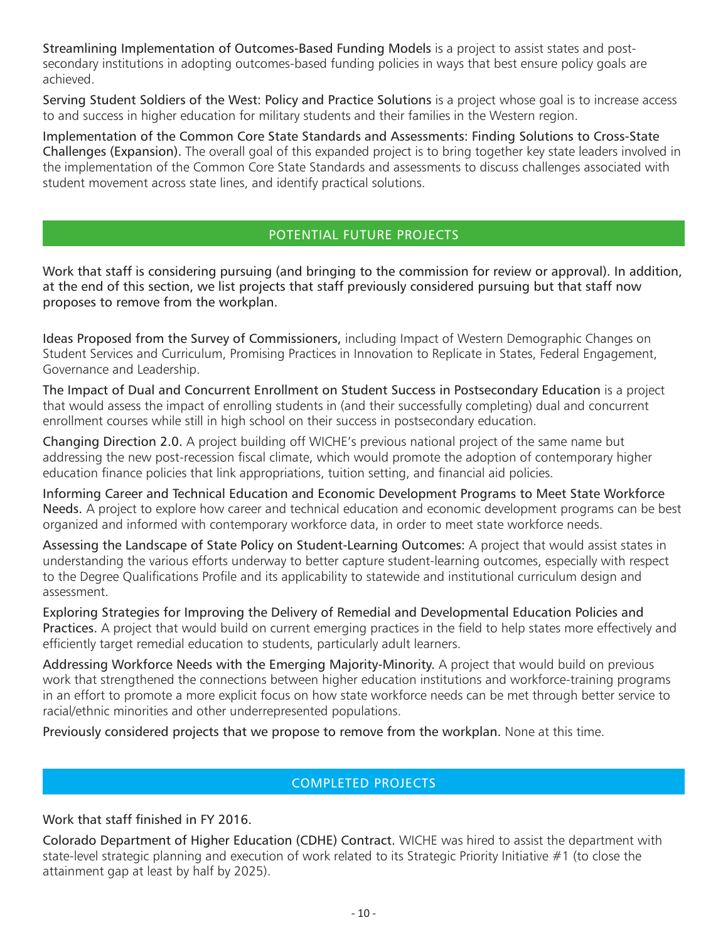Streamlining Implementation of Outcomes-Based Funding Models is a project to assist states and postsecondary institutions in adopting outcomes-based funding policies in ways that best ensure policy goals are achieved.

Serving Student Soldiers of the West: Policy and Practice Solutions is a project whose goal is to increase access to and success in higher education for military students and their families in the Western region.

Implementation of the Common Core State Standards and Assessments: Finding Solutions to Cross-State Challenges (Expansion). The overall goal of this expanded project is to bring together key state leaders involved in the implementation of the Common Core State Standards and assessments to discuss challenges associated with student movement across state lines, and identify practical solutions.

### POTENTIAL FUTURE PROJECTS

Work that staff is considering pursuing (and bringing to the commission for review or approval). In addition, at the end of this section, we list projects that staff previously considered pursuing but that staff now proposes to remove from the workplan.

Ideas Proposed from the Survey of Commissioners, including Impact of Western Demographic Changes on Student Services and Curriculum, Promising Practices in Innovation to Replicate in States, Federal Engagement, Governance and Leadership.

The Impact of Dual and Concurrent Enrollment on Student Success in Postsecondary Education is a project that would assess the impact of enrolling students in (and their successfully completing) dual and concurrent enrollment courses while still in high school on their success in postsecondary education.

Changing Direction 2.0. A project building off WICHE's previous national project of the same name but addressing the new post-recession fiscal climate, which would promote the adoption of contemporary higher education finance policies that link appropriations, tuition setting, and financial aid policies.

Informing Career and Technical Education and Economic Development Programs to Meet State Workforce Needs. A project to explore how career and technical education and economic development programs can be best organized and informed with contemporary workforce data, in order to meet state workforce needs.

Assessing the Landscape of State Policy on Student-Learning Outcomes: A project that would assist states in understanding the various efforts underway to better capture student-learning outcomes, especially with respect to the Degree Qualifications Profile and its applicability to statewide and institutional curriculum design and assessment.

Exploring Strategies for Improving the Delivery of Remedial and Developmental Education Policies and Practices. A project that would build on current emerging practices in the field to help states more effectively and efficiently target remedial education to students, particularly adult learners.

Addressing Workforce Needs with the Emerging Majority-Minority. A project that would build on previous work that strengthened the connections between higher education institutions and workforce-training programs in an effort to promote a more explicit focus on how state workforce needs can be met through better service to racial/ethnic minorities and other underrepresented populations.

Previously considered projects that we propose to remove from the workplan. None at this time.

#### COMPLETED PROJECTS

Work that staff finished in FY 2016.

Colorado Department of Higher Education (CDHE) Contract. WICHE was hired to assist the department with state-level strategic planning and execution of work related to its Strategic Priority Initiative #1 (to close the attainment gap at least by half by 2025).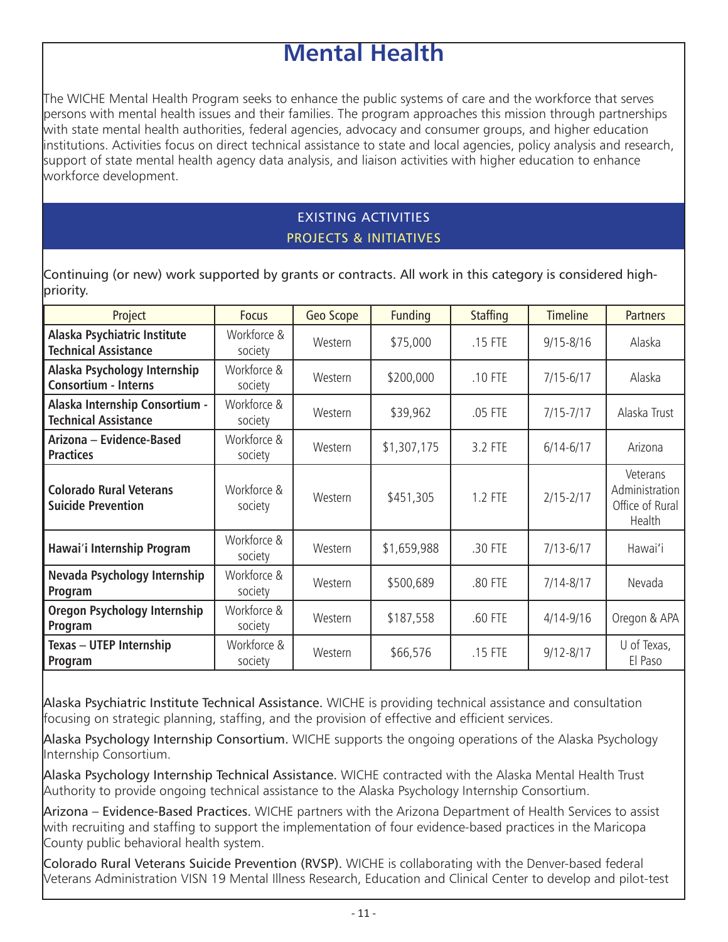# **Mental Health**

The WICHE Mental Health Program seeks to enhance the public systems of care and the workforce that serves persons with mental health issues and their families. The program approaches this mission through partnerships with state mental health authorities, federal agencies, advocacy and consumer groups, and higher education institutions. Activities focus on direct technical assistance to state and local agencies, policy analysis and research, support of state mental health agency data analysis, and liaison activities with higher education to enhance workforce development.

# EXISTING ACTIVITIES PROJECTS & INITIATIVES

Continuing (or new) work supported by grants or contracts. All work in this category is considered highpriority.

| Project                                                       | <b>Focus</b>           | Geo Scope | <b>Funding</b> | <b>Staffing</b> | <b>Timeline</b> | <b>Partners</b>                                         |
|---------------------------------------------------------------|------------------------|-----------|----------------|-----------------|-----------------|---------------------------------------------------------|
| Alaska Psychiatric Institute<br><b>Technical Assistance</b>   | Workforce &<br>society | Western   | \$75,000       | .15 FTE         | $9/15 - 8/16$   | Alaska                                                  |
| Alaska Psychology Internship<br><b>Consortium - Interns</b>   | Workforce &<br>society | Western   | \$200,000      | .10 FTE         | $7/15 - 6/17$   | Alaska                                                  |
| Alaska Internship Consortium -<br><b>Technical Assistance</b> | Workforce &<br>society | Western   | \$39,962       | .05 FTE         | $7/15 - 7/17$   | Alaska Trust                                            |
| Arizona - Evidence-Based<br><b>Practices</b>                  | Workforce &<br>society | Western   | \$1,307,175    | 3.2 FTE         | $6/14 - 6/17$   | Arizona                                                 |
| <b>Colorado Rural Veterans</b><br><b>Suicide Prevention</b>   | Workforce &<br>society | Western   | \$451,305      | 1.2 FTE         | $2/15 - 2/17$   | Veterans<br>Administration<br>Office of Rural<br>Health |
| Hawai'i Internship Program                                    | Workforce &<br>society | Western   | \$1,659,988    | .30 FTE         | $7/13 - 6/17$   | Hawai'i                                                 |
| Nevada Psychology Internship<br>Program                       | Workforce &<br>society | Western   | \$500,689      | .80 FTE         | $7/14 - 8/17$   | Nevada                                                  |
| Oregon Psychology Internship<br>Program                       | Workforce &<br>society | Western   | \$187,558      | .60 FTE         | $4/14 - 9/16$   | Oregon & APA                                            |
| <b>Texas - UTEP Internship</b><br>Program                     | Workforce &<br>society | Western   | \$66,576       | .15 FTE         | $9/12 - 8/17$   | U of Texas,<br>El Paso                                  |

Alaska Psychiatric Institute Technical Assistance. WICHE is providing technical assistance and consultation focusing on strategic planning, staffing, and the provision of effective and efficient services.

Alaska Psychology Internship Consortium. WICHE supports the ongoing operations of the Alaska Psychology Internship Consortium.

Alaska Psychology Internship Technical Assistance. WICHE contracted with the Alaska Mental Health Trust Authority to provide ongoing technical assistance to the Alaska Psychology Internship Consortium.

Arizona – Evidence-Based Practices. WICHE partners with the Arizona Department of Health Services to assist with recruiting and staffing to support the implementation of four evidence-based practices in the Maricopa County public behavioral health system.

Colorado Rural Veterans Suicide Prevention (RVSP). WICHE is collaborating with the Denver-based federal Veterans Administration VISN 19 Mental Illness Research, Education and Clinical Center to develop and pilot-test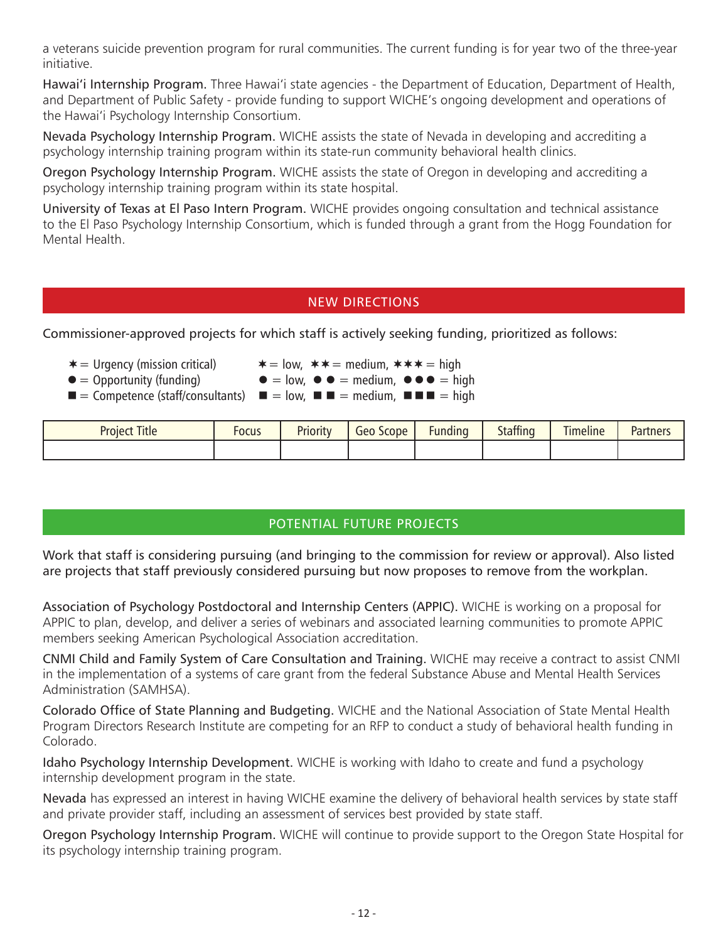a veterans suicide prevention program for rural communities. The current funding is for year two of the three-year initiative.

Hawai'i Internship Program. Three Hawai'i state agencies - the Department of Education, Department of Health, and Department of Public Safety - provide funding to support WICHE's ongoing development and operations of the Hawai'i Psychology Internship Consortium.

Nevada Psychology Internship Program. WICHE assists the state of Nevada in developing and accrediting a psychology internship training program within its state-run community behavioral health clinics.

Oregon Psychology Internship Program. WICHE assists the state of Oregon in developing and accrediting a psychology internship training program within its state hospital.

University of Texas at El Paso Intern Program. WICHE provides ongoing consultation and technical assistance to the El Paso Psychology Internship Consortium, which is funded through a grant from the Hogg Foundation for Mental Health.

#### NEW DIRECTIONS

Commissioner-approved projects for which staff is actively seeking funding, prioritized as follows:

- 
- 
- $*$  = Urgency (mission critical)  $*$  = low,  $*$  = medium,  $*$   $*$  = high<br>  $\bullet$  = Opportunity (funding)  $\bullet$  = low,  $\bullet$   $\bullet$  = medium,  $\bullet$   $\bullet$   $\bullet$  = high  $\bullet = \text{low}, \bullet \bullet = \text{medium}, \bullet \bullet \bullet = \text{high}$
- $\blacksquare$  = Competence (staff/consultants)  $\blacksquare$  = low,  $\blacksquare$  = medium,  $\blacksquare$  =  $\blacksquare$  = high

| <b>Project Title</b> | Focus | <b>Priority</b> | Scope<br>Geo | -<br>Fundina | <b>Staffing</b> | Timeline | <b>Partners</b> |
|----------------------|-------|-----------------|--------------|--------------|-----------------|----------|-----------------|
|                      |       |                 |              |              |                 |          |                 |

## POTENTIAL FUTURE PROJECTS

Work that staff is considering pursuing (and bringing to the commission for review or approval). Also listed are projects that staff previously considered pursuing but now proposes to remove from the workplan.

Association of Psychology Postdoctoral and Internship Centers (APPIC). WICHE is working on a proposal for APPIC to plan, develop, and deliver a series of webinars and associated learning communities to promote APPIC members seeking American Psychological Association accreditation.

CNMI Child and Family System of Care Consultation and Training. WICHE may receive a contract to assist CNMI in the implementation of a systems of care grant from the federal Substance Abuse and Mental Health Services Administration (SAMHSA).

Colorado Office of State Planning and Budgeting. WICHE and the National Association of State Mental Health Program Directors Research Institute are competing for an RFP to conduct a study of behavioral health funding in Colorado.

Idaho Psychology Internship Development. WICHE is working with Idaho to create and fund a psychology internship development program in the state.

Nevada has expressed an interest in having WICHE examine the delivery of behavioral health services by state staff and private provider staff, including an assessment of services best provided by state staff.

Oregon Psychology Internship Program. WICHE will continue to provide support to the Oregon State Hospital for its psychology internship training program.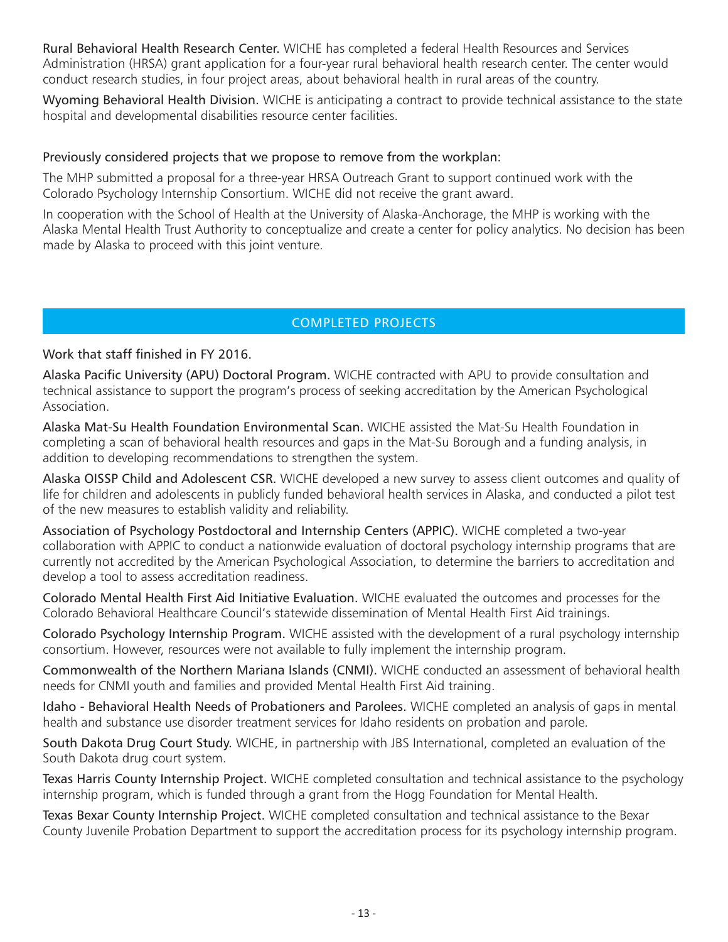Rural Behavioral Health Research Center. WICHE has completed a federal Health Resources and Services Administration (HRSA) grant application for a four-year rural behavioral health research center. The center would conduct research studies, in four project areas, about behavioral health in rural areas of the country.

Wyoming Behavioral Health Division. WICHE is anticipating a contract to provide technical assistance to the state hospital and developmental disabilities resource center facilities.

#### Previously considered projects that we propose to remove from the workplan:

The MHP submitted a proposal for a three-year HRSA Outreach Grant to support continued work with the Colorado Psychology Internship Consortium. WICHE did not receive the grant award.

In cooperation with the School of Health at the University of Alaska-Anchorage, the MHP is working with the Alaska Mental Health Trust Authority to conceptualize and create a center for policy analytics. No decision has been made by Alaska to proceed with this joint venture.

## COMPLETED PROJECTS

#### Work that staff finished in FY 2016.

Alaska Pacific University (APU) Doctoral Program. WICHE contracted with APU to provide consultation and technical assistance to support the program's process of seeking accreditation by the American Psychological Association.

Alaska Mat-Su Health Foundation Environmental Scan. WICHE assisted the Mat-Su Health Foundation in completing a scan of behavioral health resources and gaps in the Mat-Su Borough and a funding analysis, in addition to developing recommendations to strengthen the system.

Alaska OISSP Child and Adolescent CSR. WICHE developed a new survey to assess client outcomes and quality of life for children and adolescents in publicly funded behavioral health services in Alaska, and conducted a pilot test of the new measures to establish validity and reliability.

Association of Psychology Postdoctoral and Internship Centers (APPIC). WICHE completed a two-year collaboration with APPIC to conduct a nationwide evaluation of doctoral psychology internship programs that are currently not accredited by the American Psychological Association, to determine the barriers to accreditation and develop a tool to assess accreditation readiness.

Colorado Mental Health First Aid Initiative Evaluation. WICHE evaluated the outcomes and processes for the Colorado Behavioral Healthcare Council's statewide dissemination of Mental Health First Aid trainings.

Colorado Psychology Internship Program. WICHE assisted with the development of a rural psychology internship consortium. However, resources were not available to fully implement the internship program.

Commonwealth of the Northern Mariana Islands (CNMI). WICHE conducted an assessment of behavioral health needs for CNMI youth and families and provided Mental Health First Aid training.

Idaho - Behavioral Health Needs of Probationers and Parolees. WICHE completed an analysis of gaps in mental health and substance use disorder treatment services for Idaho residents on probation and parole.

South Dakota Drug Court Study. WICHE, in partnership with JBS International, completed an evaluation of the South Dakota drug court system.

Texas Harris County Internship Project. WICHE completed consultation and technical assistance to the psychology internship program, which is funded through a grant from the Hogg Foundation for Mental Health.

Texas Bexar County Internship Project. WICHE completed consultation and technical assistance to the Bexar County Juvenile Probation Department to support the accreditation process for its psychology internship program.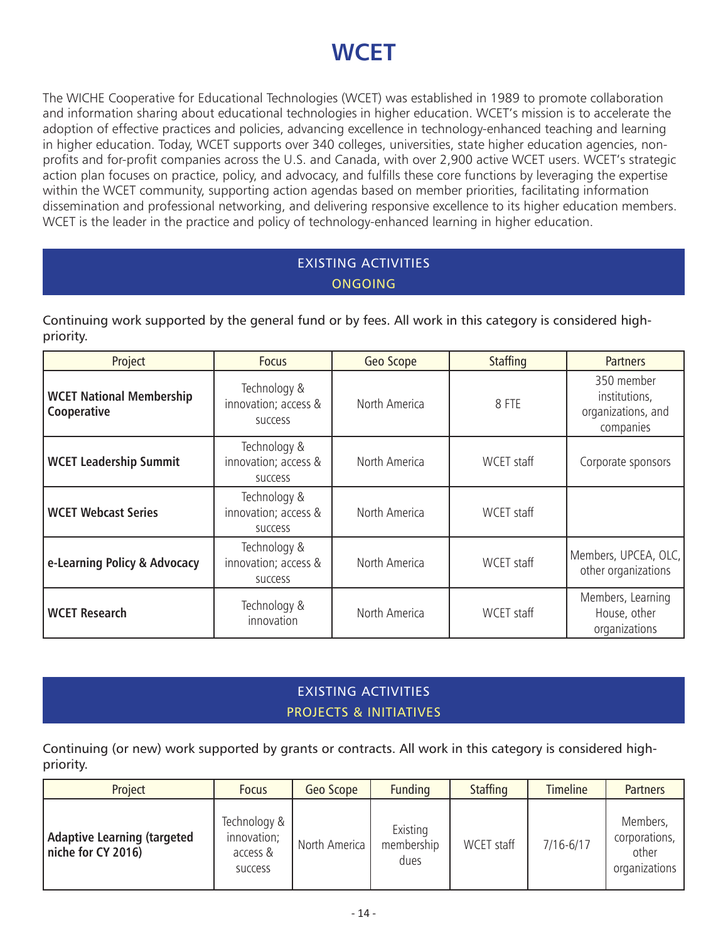# **WCET**

The WICHE Cooperative for Educational Technologies (WCET) was established in 1989 to promote collaboration and information sharing about educational technologies in higher education. WCET's mission is to accelerate the adoption of effective practices and policies, advancing excellence in technology-enhanced teaching and learning in higher education. Today, WCET supports over 340 colleges, universities, state higher education agencies, nonprofits and for-profit companies across the U.S. and Canada, with over 2,900 active WCET users. WCET's strategic action plan focuses on practice, policy, and advocacy, and fulfills these core functions by leveraging the expertise within the WCET community, supporting action agendas based on member priorities, facilitating information dissemination and professional networking, and delivering responsive excellence to its higher education members. WCET is the leader in the practice and policy of technology-enhanced learning in higher education.

# EXISTING ACTIVITIES **ONGOING**

Continuing work supported by the general fund or by fees. All work in this category is considered highpriority.

| Project                                        | <b>Focus</b>                                           | Geo Scope     | <b>Staffing</b> | <b>Partners</b>                                                |
|------------------------------------------------|--------------------------------------------------------|---------------|-----------------|----------------------------------------------------------------|
| <b>WCET National Membership</b><br>Cooperative | Technology &<br>innovation; access &<br><b>SUCCESS</b> | North America | 8 FTE           | 350 member<br>institutions,<br>organizations, and<br>companies |
| <b>WCET Leadership Summit</b>                  | Technology &<br>innovation; access &<br><b>SUCCESS</b> | North America | WCET staff      | Corporate sponsors                                             |
| <b>WCET Webcast Series</b>                     | Technology &<br>innovation; access &<br><b>SUCCESS</b> | North America | WCET staff      |                                                                |
| e-Learning Policy & Advocacy                   | Technology &<br>innovation; access &<br><b>SUCCESS</b> | North America | WCET staff      | Members, UPCEA, OLC,<br>other organizations                    |
| <b>WCET Research</b>                           | Technology &<br>innovation                             | North America | WCET staff      | Members, Learning<br>House, other<br>organizations             |

# EXISTING ACTIVITIES PROJECTS & INITIATIVES

Continuing (or new) work supported by grants or contracts. All work in this category is considered highpriority.

| Project                                                  | <b>Focus</b>                                              | Geo Scope     | <b>Funding</b>                 | <b>Staffing</b> | <b>Timeline</b> | <b>Partners</b>                                     |
|----------------------------------------------------------|-----------------------------------------------------------|---------------|--------------------------------|-----------------|-----------------|-----------------------------------------------------|
| <b>Adaptive Learning (targeted</b><br>niche for CY 2016) | Technology &<br>innovation;<br>access &<br><b>SUCCESS</b> | North America | Existing<br>membership<br>dues | WCET staff      | $7/16 - 6/17$   | Members,<br>corporations,<br>other<br>organizations |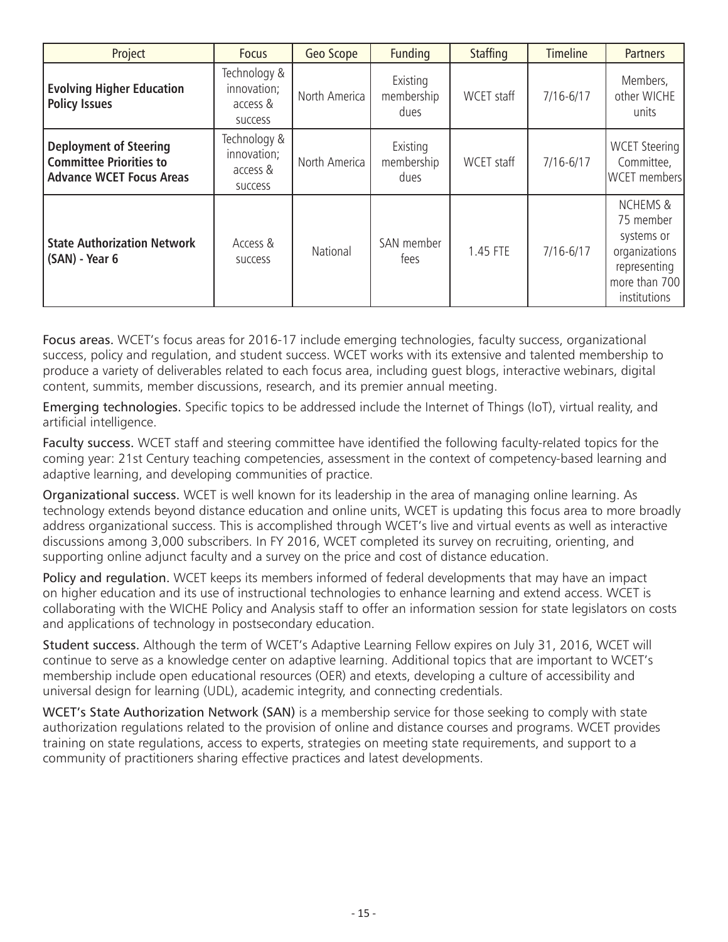| Project                                                                                            | <b>Focus</b>                                              | Geo Scope     | <b>Funding</b>                 | <b>Staffing</b> | <b>Timeline</b> | <b>Partners</b>                                                                                                  |
|----------------------------------------------------------------------------------------------------|-----------------------------------------------------------|---------------|--------------------------------|-----------------|-----------------|------------------------------------------------------------------------------------------------------------------|
| <b>Evolving Higher Education</b><br><b>Policy Issues</b>                                           | Technology &<br>innovation;<br>access &<br><b>SUCCESS</b> | North America | Existing<br>membership<br>dues | WCET staff      | $7/16 - 6/17$   | Members,<br>other WICHE<br>units                                                                                 |
| <b>Deployment of Steering</b><br><b>Committee Priorities to</b><br><b>Advance WCET Focus Areas</b> | Technology &<br>innovation;<br>access &<br><b>SUCCESS</b> | North America | Existing<br>membership<br>dues | WCET staff      | $7/16 - 6/17$   | <b>WCET Steering</b><br>Committee,<br><b>WCET</b> members                                                        |
| <b>State Authorization Network</b><br>(SAN) - Year 6                                               | Access &<br><b>SUCCESS</b>                                | National      | SAN member<br>fees             | 1.45 FTE        | $7/16 - 6/17$   | <b>NCHEMS &amp;</b><br>75 member<br>systems or<br>organizations<br>representing<br>more than 700<br>institutions |

Focus areas. WCET's focus areas for 2016-17 include emerging technologies, faculty success, organizational success, policy and regulation, and student success. WCET works with its extensive and talented membership to produce a variety of deliverables related to each focus area, including guest blogs, interactive webinars, digital content, summits, member discussions, research, and its premier annual meeting.

Emerging technologies. Specific topics to be addressed include the Internet of Things (IoT), virtual reality, and artificial intelligence.

Faculty success. WCET staff and steering committee have identified the following faculty-related topics for the coming year: 21st Century teaching competencies, assessment in the context of competency-based learning and adaptive learning, and developing communities of practice.

Organizational success. WCET is well known for its leadership in the area of managing online learning. As technology extends beyond distance education and online units, WCET is updating this focus area to more broadly address organizational success. This is accomplished through WCET's live and virtual events as well as interactive discussions among 3,000 subscribers. In FY 2016, WCET completed its survey on recruiting, orienting, and supporting online adjunct faculty and a survey on the price and cost of distance education.

Policy and regulation. WCET keeps its members informed of federal developments that may have an impact on higher education and its use of instructional technologies to enhance learning and extend access. WCET is collaborating with the WICHE Policy and Analysis staff to offer an information session for state legislators on costs and applications of technology in postsecondary education.

Student success. Although the term of WCET's Adaptive Learning Fellow expires on July 31, 2016, WCET will continue to serve as a knowledge center on adaptive learning. Additional topics that are important to WCET's membership include open educational resources (OER) and etexts, developing a culture of accessibility and universal design for learning (UDL), academic integrity, and connecting credentials.

WCET's State Authorization Network (SAN) is a membership service for those seeking to comply with state authorization regulations related to the provision of online and distance courses and programs. WCET provides training on state regulations, access to experts, strategies on meeting state requirements, and support to a community of practitioners sharing effective practices and latest developments.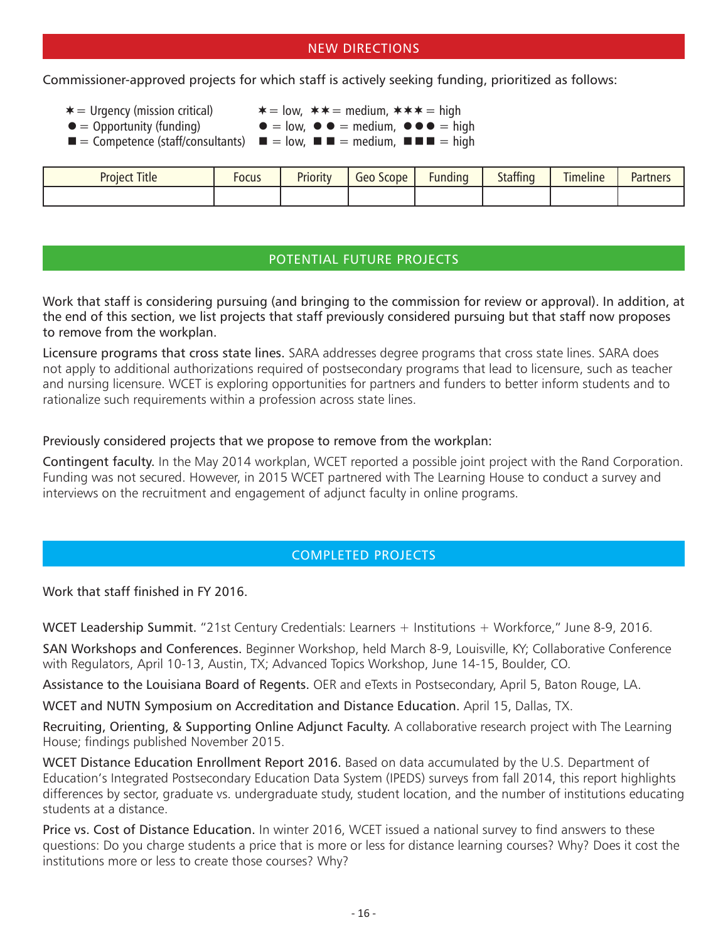### NEW DIRECTIONS

Commissioner-approved projects for which staff is actively seeking funding, prioritized as follows:

- 
- $\ast$  = Urgency (mission critical)  $\ast$  = low,  $\ast \ast$  = medium,  $\ast \ast \ast$  = high
- 
- $\bullet$  = Opportunity (funding)  $\bullet$  = low,  $\bullet$   $\bullet$  = medium,  $\bullet$   $\bullet$  = high
- $\blacksquare$  = Competence (staff/consultants)  $\blacksquare$  = low,  $\blacksquare$  = medium,  $\blacksquare$  = high

| <b>Project Title</b> | FOCUS | <b>Priority</b> | scope<br>$-100$ | -<br><b>Funding</b> | <b>Staffing</b> | $\cdots$<br>$-1$<br><b>Imeline</b> | Partners |
|----------------------|-------|-----------------|-----------------|---------------------|-----------------|------------------------------------|----------|
|                      |       |                 |                 |                     |                 |                                    |          |

## POTENTIAL FUTURE PROJECTS

Work that staff is considering pursuing (and bringing to the commission for review or approval). In addition, at the end of this section, we list projects that staff previously considered pursuing but that staff now proposes to remove from the workplan.

Licensure programs that cross state lines. SARA addresses degree programs that cross state lines. SARA does not apply to additional authorizations required of postsecondary programs that lead to licensure, such as teacher and nursing licensure. WCET is exploring opportunities for partners and funders to better inform students and to rationalize such requirements within a profession across state lines.

#### Previously considered projects that we propose to remove from the workplan:

Contingent faculty. In the May 2014 workplan, WCET reported a possible joint project with the Rand Corporation. Funding was not secured. However, in 2015 WCET partnered with The Learning House to conduct a survey and interviews on the recruitment and engagement of adjunct faculty in online programs.

## COMPLETED PROJECTS

Work that staff finished in FY 2016.

WCET Leadership Summit. "21st Century Credentials: Learners + Institutions + Workforce," June 8-9, 2016.

SAN Workshops and Conferences. Beginner Workshop, held March 8-9, Louisville, KY; Collaborative Conference with Regulators, April 10-13, Austin, TX; Advanced Topics Workshop, June 14-15, Boulder, CO.

Assistance to the Louisiana Board of Regents. OER and eTexts in Postsecondary, April 5, Baton Rouge, LA.

WCET and NUTN Symposium on Accreditation and Distance Education. April 15, Dallas, TX.

Recruiting, Orienting, & Supporting Online Adjunct Faculty. A collaborative research project with The Learning House; findings published November 2015.

WCET Distance Education Enrollment Report 2016. Based on data accumulated by the U.S. Department of Education's Integrated Postsecondary Education Data System (IPEDS) surveys from fall 2014, this report highlights differences by sector, graduate vs. undergraduate study, student location, and the number of institutions educating students at a distance.

Price vs. Cost of Distance Education. In winter 2016, WCET issued a national survey to find answers to these questions: Do you charge students a price that is more or less for distance learning courses? Why? Does it cost the institutions more or less to create those courses? Why?